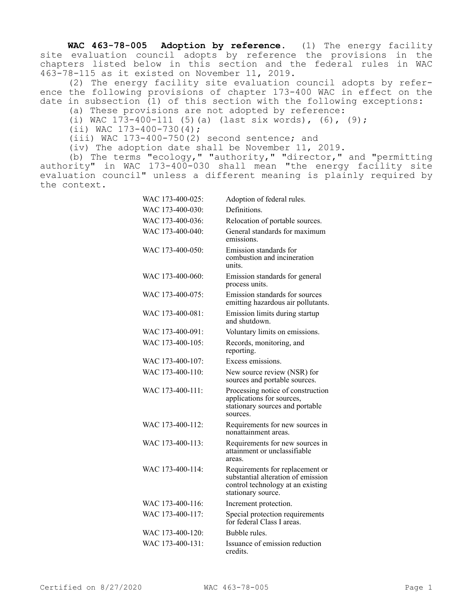**WAC 463-78-005 Adoption by reference.** (1) The energy facility site evaluation council adopts by reference the provisions in the chapters listed below in this section and the federal rules in WAC 463-78-115 as it existed on November 11, 2019.

(2) The energy facility site evaluation council adopts by reference the following provisions of chapter 173-400 WAC in effect on the date in subsection (1) of this section with the following exceptions:

- (a) These provisions are not adopted by reference:
- (i) WAC  $173-400-111$  (5)(a) (last six words), (6), (9);
- $(iii)$  WAC  $173-400-730(4)$ ;

(iii) WAC 173-400-750(2) second sentence; and

(iv) The adoption date shall be November 11, 2019.

(b) The terms "ecology," "authority," "director," and "permitting authority" in WAC 173-400-030 shall mean "the energy facility site evaluation council" unless a different meaning is plainly required by the context.

| WAC 173-400-025: | Adoption of federal rules.                                                                                                       |
|------------------|----------------------------------------------------------------------------------------------------------------------------------|
| WAC 173-400-030: | Definitions.                                                                                                                     |
| WAC 173-400-036: | Relocation of portable sources.                                                                                                  |
| WAC 173-400-040: | General standards for maximum<br>emissions.                                                                                      |
| WAC 173-400-050: | Emission standards for<br>combustion and incineration<br>units.                                                                  |
| WAC 173-400-060: | Emission standards for general<br>process units.                                                                                 |
| WAC 173-400-075: | Emission standards for sources<br>emitting hazardous air pollutants.                                                             |
| WAC 173-400-081: | Emission limits during startup<br>and shutdown.                                                                                  |
| WAC 173-400-091: | Voluntary limits on emissions.                                                                                                   |
| WAC 173-400-105: | Records, monitoring, and<br>reporting.                                                                                           |
| WAC 173-400-107: | Excess emissions.                                                                                                                |
| WAC 173-400-110: | New source review (NSR) for<br>sources and portable sources.                                                                     |
| WAC 173-400-111: | Processing notice of construction<br>applications for sources,<br>stationary sources and portable<br>sources.                    |
| WAC 173-400-112: | Requirements for new sources in<br>nonattainment areas.                                                                          |
| WAC 173-400-113: | Requirements for new sources in<br>attainment or unclassifiable<br>areas.                                                        |
| WAC 173-400-114: | Requirements for replacement or<br>substantial alteration of emission<br>control technology at an existing<br>stationary source. |
| WAC 173-400-116: | Increment protection.                                                                                                            |
| WAC 173-400-117: | Special protection requirements<br>for federal Class I areas.                                                                    |
| WAC 173-400-120: | Bubble rules.                                                                                                                    |
| WAC 173-400-131: | Issuance of emission reduction<br>credits.                                                                                       |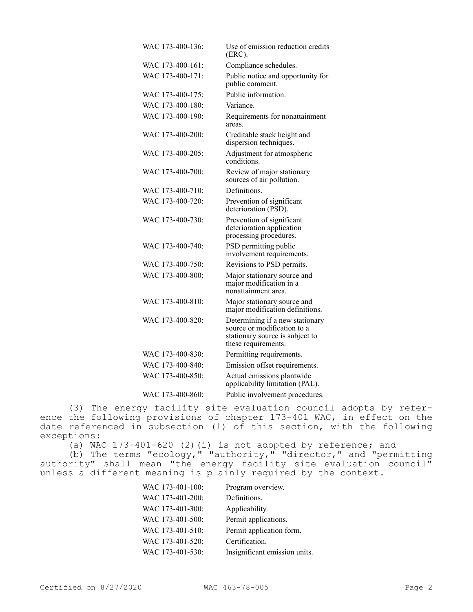| WAC 173-400-136: | Use of emission reduction credits<br>(ERC).                                                                              |
|------------------|--------------------------------------------------------------------------------------------------------------------------|
| WAC 173-400-161: | Compliance schedules.                                                                                                    |
| WAC 173-400-171: | Public notice and opportunity for<br>public comment.                                                                     |
| WAC 173-400-175: | Public information.                                                                                                      |
| WAC 173-400-180: | Variance.                                                                                                                |
| WAC 173-400-190: | Requirements for nonattainment<br>areas.                                                                                 |
| WAC 173-400-200: | Creditable stack height and<br>dispersion techniques.                                                                    |
| WAC 173-400-205: | Adjustment for atmospheric<br>conditions.                                                                                |
| WAC 173-400-700: | Review of major stationary<br>sources of air pollution.                                                                  |
| WAC 173-400-710: | Definitions.                                                                                                             |
| WAC 173-400-720: | Prevention of significant<br>deterioration (PSD).                                                                        |
| WAC 173-400-730: | Prevention of significant<br>deterioration application<br>processing procedures.                                         |
| WAC 173-400-740: | PSD permitting public<br>involvement requirements.                                                                       |
| WAC 173-400-750: | Revisions to PSD permits.                                                                                                |
| WAC 173-400-800: | Major stationary source and<br>major modification in a<br>nonattainment area.                                            |
| WAC 173-400-810: | Major stationary source and<br>major modification definitions.                                                           |
| WAC 173-400-820: | Determining if a new stationary<br>source or modification to a<br>stationary source is subject to<br>these requirements. |
| WAC 173-400-830: | Permitting requirements.                                                                                                 |
| WAC 173-400-840: | Emission offset requirements.                                                                                            |
| WAC 173-400-850: | Actual emissions plantwide<br>applicability limitation (PAL).                                                            |
| WAC 173-400-860: | Public involvement procedures.                                                                                           |

(3) The energy facility site evaluation council adopts by reference the following provisions of chapter 173-401 WAC, in effect on the date referenced in subsection (1) of this section, with the following exceptions:

(a) WAC 173-401-620 (2)(i) is not adopted by reference; and

(b) The terms "ecology," "authority," "director," and "permitting authority" shall mean "the energy facility site evaluation council" unless a different meaning is plainly required by the context.

| WAC 173-401-100: | Program overview.             |
|------------------|-------------------------------|
| WAC 173-401-200: | Definitions.                  |
| WAC 173-401-300: | Applicability.                |
| WAC 173-401-500: | Permit applications.          |
| WAC 173-401-510: | Permit application form.      |
| WAC 173-401-520: | Certification.                |
| WAC 173-401-530: | Insignificant emission units. |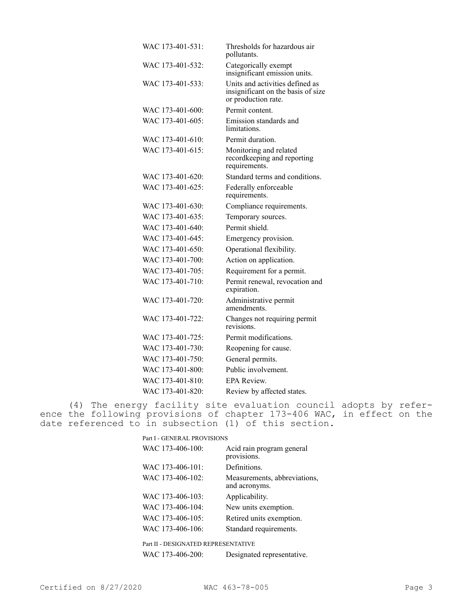| WAC 173-401-531: | Thresholds for hazardous air<br>pollutants.                                                  |
|------------------|----------------------------------------------------------------------------------------------|
| WAC 173-401-532: | Categorically exempt<br>insignificant emission units.                                        |
| WAC 173-401-533: | Units and activities defined as<br>insignificant on the basis of size<br>or production rate. |
| WAC 173-401-600: | Permit content.                                                                              |
| WAC 173-401-605: | Emission standards and<br>limitations.                                                       |
| WAC 173-401-610: | Permit duration.                                                                             |
| WAC 173-401-615: | Monitoring and related<br>recordkeeping and reporting<br>requirements.                       |
| WAC 173-401-620: | Standard terms and conditions.                                                               |
| WAC 173-401-625: | Federally enforceable<br>requirements.                                                       |
| WAC 173-401-630: | Compliance requirements.                                                                     |
| WAC 173-401-635: | Temporary sources.                                                                           |
| WAC 173-401-640: | Permit shield.                                                                               |
| WAC 173-401-645: | Emergency provision.                                                                         |
| WAC 173-401-650: | Operational flexibility.                                                                     |
| WAC 173-401-700: | Action on application.                                                                       |
| WAC 173-401-705: | Requirement for a permit.                                                                    |
| WAC 173-401-710: | Permit renewal, revocation and<br>expiration.                                                |
| WAC 173-401-720: | Administrative permit<br>amendments.                                                         |
| WAC 173-401-722: | Changes not requiring permit<br>revisions.                                                   |
| WAC 173-401-725: | Permit modifications.                                                                        |
| WAC 173-401-730: | Reopening for cause.                                                                         |
| WAC 173-401-750: | General permits.                                                                             |
| WAC 173-401-800: | Public involvement.                                                                          |
| WAC 173-401-810: | EPA Review.                                                                                  |
| WAC 173-401-820: | Review by affected states.                                                                   |

(4) The energy facility site evaluation council adopts by reference the following provisions of chapter 173-406 WAC, in effect on the date referenced to in subsection (1) of this section.

| Part I - GENERAL PROVISIONS         |                                               |
|-------------------------------------|-----------------------------------------------|
| WAC 173-406-100:                    | Acid rain program general<br>provisions.      |
| WAC 173-406-101:                    | Definitions.                                  |
| WAC 173-406-102:                    | Measurements, abbreviations,<br>and acronyms. |
| WAC 173-406-103:                    | Applicability.                                |
| WAC 173-406-104:                    | New units exemption.                          |
| WAC 173-406-105:                    | Retired units exemption.                      |
| WAC 173-406-106:                    | Standard requirements.                        |
| Part II - DESIGNATED REPRESENTATIVE |                                               |

WAC 173-406-200: Designated representative.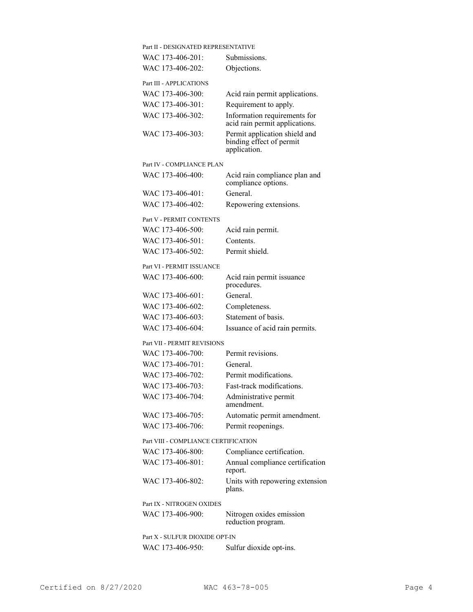| Part II - DESIGNATED REPRESENTATIVE  |                                                                           |
|--------------------------------------|---------------------------------------------------------------------------|
| WAC 173-406-201:                     | Submissions.                                                              |
| WAC 173-406-202:                     | Objections.                                                               |
| Part III - APPLICATIONS              |                                                                           |
| WAC 173-406-300:                     | Acid rain permit applications.                                            |
| WAC 173-406-301:                     | Requirement to apply.                                                     |
| WAC 173-406-302:                     | Information requirements for<br>acid rain permit applications.            |
| WAC 173-406-303:                     | Permit application shield and<br>binding effect of permit<br>application. |
| Part IV - COMPLIANCE PLAN            |                                                                           |
| WAC 173-406-400:                     | Acid rain compliance plan and<br>compliance options.                      |
| WAC 173-406-401:                     | General.                                                                  |
| WAC 173-406-402:                     | Repowering extensions.                                                    |
|                                      |                                                                           |
| Part V - PERMIT CONTENTS             |                                                                           |
| WAC 173-406-500:                     | Acid rain permit.                                                         |
| WAC 173-406-501:                     | Contents.                                                                 |
| WAC 173-406-502:                     | Permit shield.                                                            |
| Part VI - PERMIT ISSUANCE            |                                                                           |
| WAC 173-406-600:                     | Acid rain permit issuance<br>procedures.                                  |
| WAC 173-406-601:                     | General.                                                                  |
| WAC 173-406-602:                     | Completeness.                                                             |
| WAC 173-406-603:                     | Statement of basis.                                                       |
| WAC 173-406-604:                     | Issuance of acid rain permits.                                            |
| Part VII - PERMIT REVISIONS          |                                                                           |
| WAC 173-406-700:                     | Permit revisions.                                                         |
| WAC 173-406-701:                     | General.                                                                  |
| WAC 173-406-702:                     | Permit modifications.                                                     |
| WAC 173-406-703:                     | Fast-track modifications.                                                 |
| WAC 173-406-704:                     | Administrative permit<br>amendment.                                       |
| WAC 173-406-705:                     | Automatic permit amendment.                                               |
| WAC 173-406-706:                     | Permit reopenings.                                                        |
| Part VIII - COMPLIANCE CERTIFICATION |                                                                           |
| WAC 173-406-800:                     | Compliance certification.                                                 |
| WAC 173-406-801:                     | Annual compliance certification<br>report.                                |
| WAC 173-406-802:                     | Units with repowering extension<br>plans.                                 |
| Part IX - NITROGEN OXIDES            |                                                                           |
| WAC 173-406-900:                     | Nitrogen oxides emission<br>reduction program.                            |
| Part X - SULFUR DIOXIDE OPT-IN       |                                                                           |
| WAC 173-406-950:                     | Sulfur dioxide opt-ins.                                                   |
|                                      |                                                                           |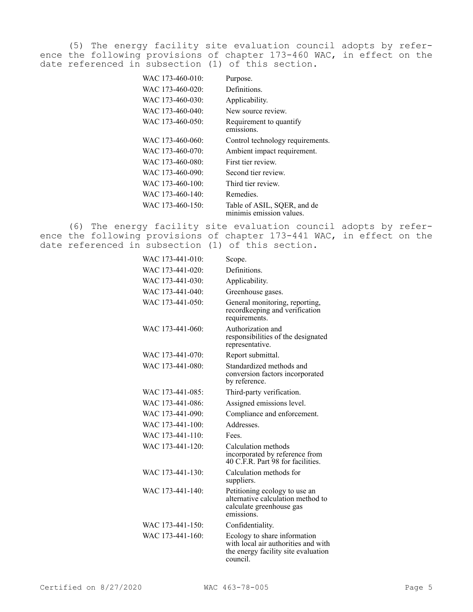(5) The energy facility site evaluation council adopts by reference the following provisions of chapter 173-460 WAC, in effect on the date referenced in subsection (1) of this section.

| WAC 173-460-010: | Purpose.                                                |
|------------------|---------------------------------------------------------|
| WAC 173-460-020: | Definitions.                                            |
| WAC 173-460-030: | Applicability.                                          |
| WAC 173-460-040: | New source review.                                      |
| WAC 173-460-050: | Requirement to quantify<br>emissions.                   |
| WAC 173-460-060: | Control technology requirements.                        |
| WAC 173-460-070: | Ambient impact requirement.                             |
| WAC 173-460-080: | First tier review.                                      |
| WAC 173-460-090: | Second tier review.                                     |
| WAC 173-460-100: | Third tier review.                                      |
| WAC 173-460-140: | Remedies.                                               |
| WAC 173-460-150: | Table of ASIL, SQER, and de<br>minimis emission values. |

(6) The energy facility site evaluation council adopts by reference the following provisions of chapter 173-441 WAC, in effect on the date referenced in subsection (1) of this section.

| WAC 173-441-010: | Scope.                                                                                                                 |
|------------------|------------------------------------------------------------------------------------------------------------------------|
| WAC 173-441-020: | Definitions.                                                                                                           |
| WAC 173-441-030: | Applicability.                                                                                                         |
| WAC 173-441-040: | Greenhouse gases.                                                                                                      |
| WAC 173-441-050: | General monitoring, reporting,<br>recordkeeping and verification<br>requirements.                                      |
| WAC 173-441-060: | Authorization and<br>responsibilities of the designated<br>representative.                                             |
| WAC 173-441-070: | Report submittal.                                                                                                      |
| WAC 173-441-080: | Standardized methods and<br>conversion factors incorporated<br>by reference.                                           |
| WAC 173-441-085: | Third-party verification.                                                                                              |
| WAC 173-441-086: | Assigned emissions level.                                                                                              |
| WAC 173-441-090: | Compliance and enforcement.                                                                                            |
| WAC 173-441-100: | Addresses.                                                                                                             |
| WAC 173-441-110: | Fees.                                                                                                                  |
| WAC 173-441-120: | Calculation methods<br>incorporated by reference from<br>40 C.F.R. Part 98 for facilities.                             |
| WAC 173-441-130: | Calculation methods for<br>suppliers.                                                                                  |
| WAC 173-441-140: | Petitioning ecology to use an<br>alternative calculation method to<br>calculate greenhouse gas<br>emissions.           |
| WAC 173-441-150: | Confidentiality.                                                                                                       |
| WAC 173-441-160: | Ecology to share information<br>with local air authorities and with<br>the energy facility site evaluation<br>council. |